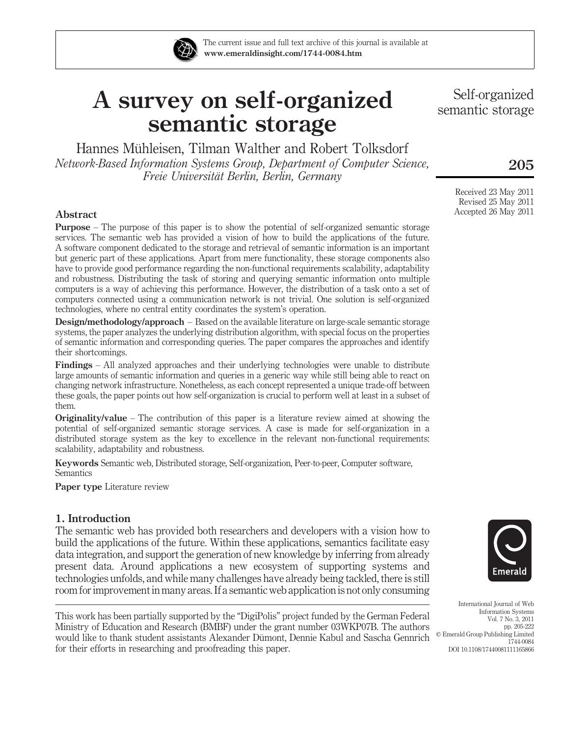

The current issue and full text archive of this journal is available at www.emeraldinsight.com/1744-0084.htm

# A survey on self-organized semantic storage

Hannes Mühleisen, Tilman Walther and Robert Tolksdorf Network-Based Information Systems Group, Department of Computer Science, Freie Universität Berlin, Berlin, Germany

## Abstract

Purpose – The purpose of this paper is to show the potential of self-organized semantic storage services. The semantic web has provided a vision of how to build the applications of the future. A software component dedicated to the storage and retrieval of semantic information is an important but generic part of these applications. Apart from mere functionality, these storage components also have to provide good performance regarding the non-functional requirements scalability, adaptability and robustness. Distributing the task of storing and querying semantic information onto multiple computers is a way of achieving this performance. However, the distribution of a task onto a set of computers connected using a communication network is not trivial. One solution is self-organized technologies, where no central entity coordinates the system's operation.

Design/methodology/approach – Based on the available literature on large-scale semantic storage systems, the paper analyzes the underlying distribution algorithm, with special focus on the properties of semantic information and corresponding queries. The paper compares the approaches and identify their shortcomings.

Findings – All analyzed approaches and their underlying technologies were unable to distribute large amounts of semantic information and queries in a generic way while still being able to react on changing network infrastructure. Nonetheless, as each concept represented a unique trade-off between these goals, the paper points out how self-organization is crucial to perform well at least in a subset of them.

**Originality/value** – The contribution of this paper is a literature review aimed at showing the potential of self-organized semantic storage services. A case is made for self-organization in a distributed storage system as the key to excellence in the relevant non-functional requirements: scalability, adaptability and robustness.

Keywords Semantic web, Distributed storage, Self-organization, Peer-to-peer, Computer software, **Semantics** 

Paper type Literature review

#### 1. Introduction

The semantic web has provided both researchers and developers with a vision how to build the applications of the future. Within these applications, semantics facilitate easy data integration, and support the generation of new knowledge by inferring from already present data. Around applications a new ecosystem of supporting systems and technologies unfolds, and while many challenges have already being tackled, there is still room for improvement in many areas. If a semantic web application is not only consuming

This work has been partially supported by the "DigiPolis" project funded by the German Federal Ministry of Education and Research (BMBF) under the grant number 03WKP07B. The authors would like to thank student assistants Alexander Dümont, Dennie Kabul and Sascha Gennrich for their efforts in researching and proofreading this paper.

# Self-organized semantic storage

# 205

Received 23 May 2011 Revised 25 May 2011 Accepted 26 May 2011



International Journal of Web Information Systems Vol. 7 No. 3, 2011 pp. 205-222  $©$  Emerald Group Publishing Limited 1744-0084 DOI 10.1108/17440081111165866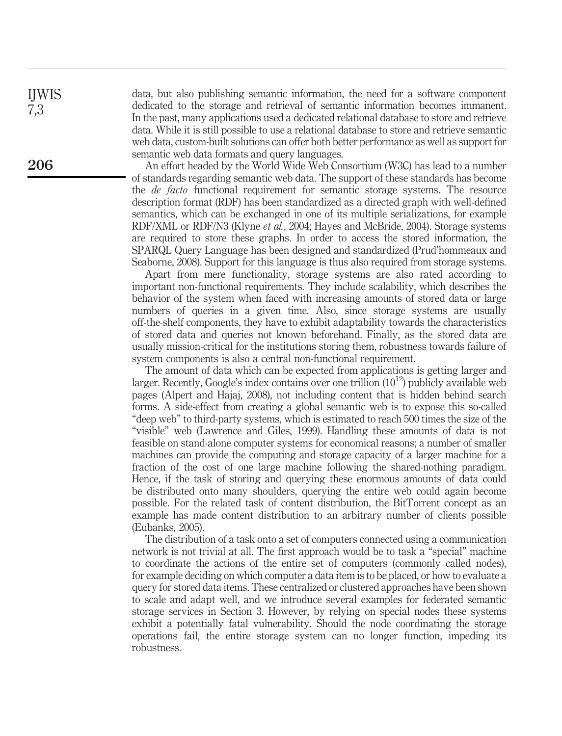data, but also publishing semantic information, the need for a software component dedicated to the storage and retrieval of semantic information becomes immanent. In the past, many applications used a dedicated relational database to store and retrieve data. While it is still possible to use a relational database to store and retrieve semantic web data, custom-built solutions can offer both better performance as well as support for semantic web data formats and query languages.

An effort headed by the World Wide Web Consortium (W3C) has lead to a number of standards regarding semantic web data. The support of these standards has become the *de facto* functional requirement for semantic storage systems. The resource description format (RDF) has been standardized as a directed graph with well-defined semantics, which can be exchanged in one of its multiple serializations, for example RDF/XML or RDF/N3 (Klyne et al., 2004; Hayes and McBride, 2004). Storage systems are required to store these graphs. In order to access the stored information, the SPARQL Query Language has been designed and standardized (Prud'hommeaux and Seaborne, 2008). Support for this language is thus also required from storage systems.

Apart from mere functionality, storage systems are also rated according to important non-functional requirements. They include scalability, which describes the behavior of the system when faced with increasing amounts of stored data or large numbers of queries in a given time. Also, since storage systems are usually off-the-shelf components, they have to exhibit adaptability towards the characteristics of stored data and queries not known beforehand. Finally, as the stored data are usually mission-critical for the institutions storing them, robustness towards failure of system components is also a central non-functional requirement.

The amount of data which can be expected from applications is getting larger and larger. Recently, Google's index contains over one trillion  $(10^{12})$  publicly available web pages (Alpert and Hajaj, 2008), not including content that is hidden behind search forms. A side-effect from creating a global semantic web is to expose this so-called "deep web" to third-party systems, which is estimated to reach 500 times the size of the "visible" web (Lawrence and Giles, 1999). Handling these amounts of data is not feasible on stand-alone computer systems for economical reasons; a number of smaller machines can provide the computing and storage capacity of a larger machine for a fraction of the cost of one large machine following the shared-nothing paradigm. Hence, if the task of storing and querying these enormous amounts of data could be distributed onto many shoulders, querying the entire web could again become possible. For the related task of content distribution, the BitTorrent concept as an example has made content distribution to an arbitrary number of clients possible (Eubanks, 2005).

The distribution of a task onto a set of computers connected using a communication network is not trivial at all. The first approach would be to task a "special" machine to coordinate the actions of the entire set of computers (commonly called nodes), for example deciding on which computer a data item is to be placed, or how to evaluate a query for stored data items. These centralized or clustered approaches have been shown to scale and adapt well, and we introduce several examples for federated semantic storage services in Section 3. However, by relying on special nodes these systems exhibit a potentially fatal vulnerability. Should the node coordinating the storage operations fail, the entire storage system can no longer function, impeding its robustness.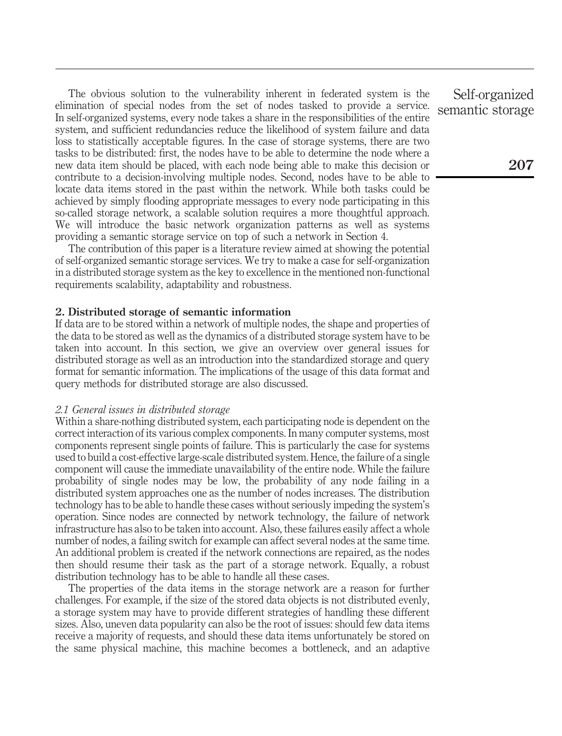The obvious solution to the vulnerability inherent in federated system is the elimination of special nodes from the set of nodes tasked to provide a service. In self-organized systems, every node takes a share in the responsibilities of the entire system, and sufficient redundancies reduce the likelihood of system failure and data loss to statistically acceptable figures. In the case of storage systems, there are two tasks to be distributed: first, the nodes have to be able to determine the node where a new data item should be placed, with each node being able to make this decision or contribute to a decision-involving multiple nodes. Second, nodes have to be able to locate data items stored in the past within the network. While both tasks could be achieved by simply flooding appropriate messages to every node participating in this so-called storage network, a scalable solution requires a more thoughtful approach. We will introduce the basic network organization patterns as well as systems providing a semantic storage service on top of such a network in Section 4.

The contribution of this paper is a literature review aimed at showing the potential of self-organized semantic storage services. We try to make a case for self-organization in a distributed storage system as the key to excellence in the mentioned non-functional requirements scalability, adaptability and robustness.

### 2. Distributed storage of semantic information

If data are to be stored within a network of multiple nodes, the shape and properties of the data to be stored as well as the dynamics of a distributed storage system have to be taken into account. In this section, we give an overview over general issues for distributed storage as well as an introduction into the standardized storage and query format for semantic information. The implications of the usage of this data format and query methods for distributed storage are also discussed.

#### 2.1 General issues in distributed storage

Within a share-nothing distributed system, each participating node is dependent on the correct interaction of its various complex components. In many computer systems, most components represent single points of failure. This is particularly the case for systems used to build a cost-effective large-scale distributed system. Hence, the failure of a single component will cause the immediate unavailability of the entire node. While the failure probability of single nodes may be low, the probability of any node failing in a distributed system approaches one as the number of nodes increases. The distribution technology has to be able to handle these cases without seriously impeding the system's operation. Since nodes are connected by network technology, the failure of network infrastructure has also to be taken into account. Also, these failures easily affect a whole number of nodes, a failing switch for example can affect several nodes at the same time. An additional problem is created if the network connections are repaired, as the nodes then should resume their task as the part of a storage network. Equally, a robust distribution technology has to be able to handle all these cases.

The properties of the data items in the storage network are a reason for further challenges. For example, if the size of the stored data objects is not distributed evenly, a storage system may have to provide different strategies of handling these different sizes. Also, uneven data popularity can also be the root of issues: should few data items receive a majority of requests, and should these data items unfortunately be stored on the same physical machine, this machine becomes a bottleneck, and an adaptive

Self-organized semantic storage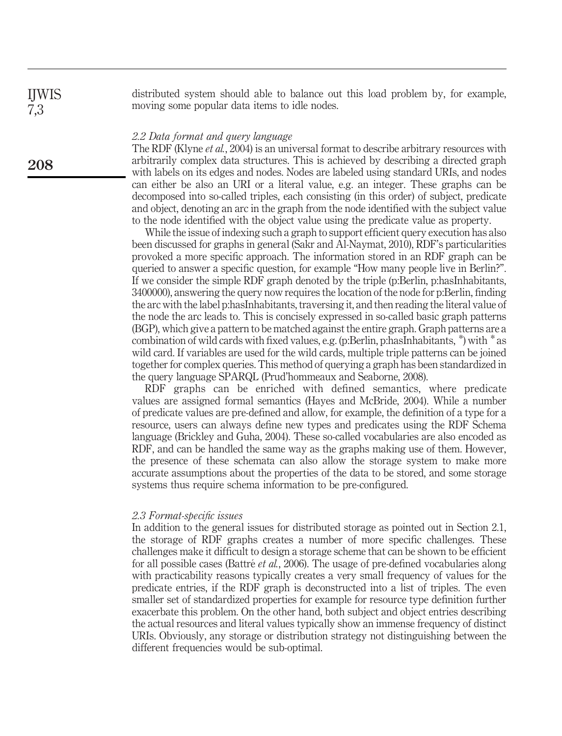distributed system should able to balance out this load problem by, for example, moving some popular data items to idle nodes.

# 2.2 Data format and query language

The RDF (Klyne *et al.*, 2004) is an universal format to describe arbitrary resources with arbitrarily complex data structures. This is achieved by describing a directed graph with labels on its edges and nodes. Nodes are labeled using standard URIs, and nodes can either be also an URI or a literal value, e.g. an integer. These graphs can be decomposed into so-called triples, each consisting (in this order) of subject, predicate and object, denoting an arc in the graph from the node identified with the subject value to the node identified with the object value using the predicate value as property.

While the issue of indexing such a graph to support efficient query execution has also been discussed for graphs in general (Sakr and Al-Naymat, 2010), RDF's particularities provoked a more specific approach. The information stored in an RDF graph can be queried to answer a specific question, for example "How many people live in Berlin?". If we consider the simple RDF graph denoted by the triple (p:Berlin, p:hasInhabitants, 3400000), answering the query now requires the location of the node for p:Berlin, finding the arc with the label p:hasInhabitants, traversing it, and then reading the literal value of the node the arc leads to. This is concisely expressed in so-called basic graph patterns (BGP), which give a pattern to be matched against the entire graph. Graph patterns are a combination of wild cards with fixed values, e.g. (p:Berlin, p:hasInhabitants, \*) with \* as wild card. If variables are used for the wild cards, multiple triple patterns can be joined together for complex queries. This method of querying a graph has been standardized in the query language SPARQL (Prud'hommeaux and Seaborne, 2008).

RDF graphs can be enriched with defined semantics, where predicate values are assigned formal semantics (Hayes and McBride, 2004). While a number of predicate values are pre-defined and allow, for example, the definition of a type for a resource, users can always define new types and predicates using the RDF Schema language (Brickley and Guha, 2004). These so-called vocabularies are also encoded as RDF, and can be handled the same way as the graphs making use of them. However, the presence of these schemata can also allow the storage system to make more accurate assumptions about the properties of the data to be stored, and some storage systems thus require schema information to be pre-configured.

#### 2.3 Format-specific issues

In addition to the general issues for distributed storage as pointed out in Section 2.1, the storage of RDF graphs creates a number of more specific challenges. These challenges make it difficult to design a storage scheme that can be shown to be efficient for all possible cases (Battré *et al.*, 2006). The usage of pre-defined vocabularies along with practicability reasons typically creates a very small frequency of values for the predicate entries, if the RDF graph is deconstructed into a list of triples. The even smaller set of standardized properties for example for resource type definition further exacerbate this problem. On the other hand, both subject and object entries describing the actual resources and literal values typically show an immense frequency of distinct URIs. Obviously, any storage or distribution strategy not distinguishing between the different frequencies would be sub-optimal.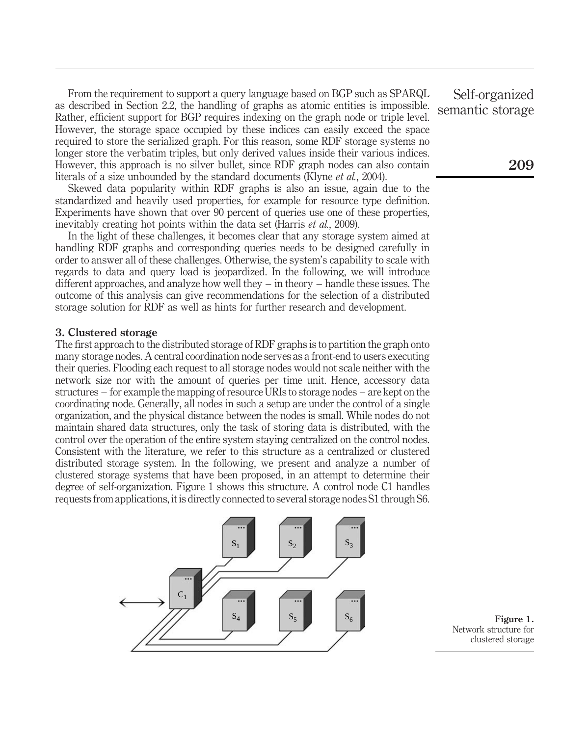From the requirement to support a query language based on BGP such as SPARQL as described in Section 2.2, the handling of graphs as atomic entities is impossible. Rather, efficient support for BGP requires indexing on the graph node or triple level. However, the storage space occupied by these indices can easily exceed the space required to store the serialized graph. For this reason, some RDF storage systems no longer store the verbatim triples, but only derived values inside their various indices. However, this approach is no silver bullet, since RDF graph nodes can also contain literals of a size unbounded by the standard documents (Klyne *et al.*, 2004).

Skewed data popularity within RDF graphs is also an issue, again due to the standardized and heavily used properties, for example for resource type definition. Experiments have shown that over 90 percent of queries use one of these properties, inevitably creating hot points within the data set (Harris et al., 2009).

In the light of these challenges, it becomes clear that any storage system aimed at handling RDF graphs and corresponding queries needs to be designed carefully in order to answer all of these challenges. Otherwise, the system's capability to scale with regards to data and query load is jeopardized. In the following, we will introduce different approaches, and analyze how well they – in theory – handle these issues. The outcome of this analysis can give recommendations for the selection of a distributed storage solution for RDF as well as hints for further research and development.

#### 3. Clustered storage

The first approach to the distributed storage of RDF graphs is to partition the graph onto many storage nodes. A central coordination node serves as a front-end to users executing their queries. Flooding each request to all storage nodes would not scale neither with the network size nor with the amount of queries per time unit. Hence, accessory data structures – for example the mapping of resource URIs to storage nodes – are kept on the coordinating node. Generally, all nodes in such a setup are under the control of a single organization, and the physical distance between the nodes is small. While nodes do not maintain shared data structures, only the task of storing data is distributed, with the control over the operation of the entire system staying centralized on the control nodes. Consistent with the literature, we refer to this structure as a centralized or clustered distributed storage system. In the following, we present and analyze a number of clustered storage systems that have been proposed, in an attempt to determine their degree of self-organization. Figure 1 shows this structure. A control node C1 handles requests from applications, it is directly connected to several storage nodes S1 through S6.



Figure 1. Network structure for clustered storage

Self-organized semantic storage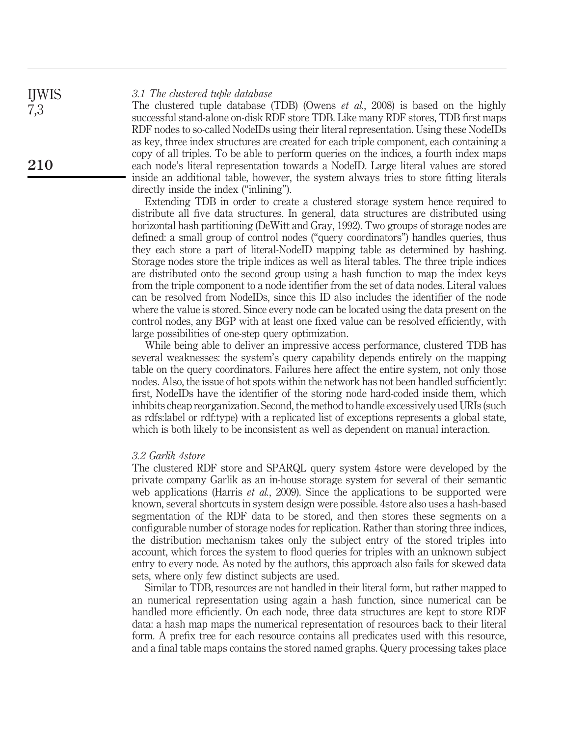#### 3.1 The clustered tuple database

The clustered tuple database (TDB) (Owens *et al.*, 2008) is based on the highly successful stand-alone on-disk RDF store TDB. Like many RDF stores, TDB first maps RDF nodes to so-called NodeIDs using their literal representation. Using these NodeIDs as key, three index structures are created for each triple component, each containing a copy of all triples. To be able to perform queries on the indices, a fourth index maps each node's literal representation towards a NodeID. Large literal values are stored inside an additional table, however, the system always tries to store fitting literals directly inside the index ("inlining").

Extending TDB in order to create a clustered storage system hence required to distribute all five data structures. In general, data structures are distributed using horizontal hash partitioning (DeWitt and Gray, 1992). Two groups of storage nodes are defined: a small group of control nodes ("query coordinators") handles queries, thus they each store a part of literal-NodeID mapping table as determined by hashing. Storage nodes store the triple indices as well as literal tables. The three triple indices are distributed onto the second group using a hash function to map the index keys from the triple component to a node identifier from the set of data nodes. Literal values can be resolved from NodeIDs, since this ID also includes the identifier of the node where the value is stored. Since every node can be located using the data present on the control nodes, any BGP with at least one fixed value can be resolved efficiently, with large possibilities of one-step query optimization.

While being able to deliver an impressive access performance, clustered TDB has several weaknesses: the system's query capability depends entirely on the mapping table on the query coordinators. Failures here affect the entire system, not only those nodes. Also, the issue of hot spots within the network has not been handled sufficiently: first, NodeIDs have the identifier of the storing node hard-coded inside them, which inhibits cheap reorganization. Second, the method to handle excessively used URIs (such as rdfs:label or rdf:type) with a replicated list of exceptions represents a global state, which is both likely to be inconsistent as well as dependent on manual interaction.

#### 3.2 Garlik 4store

The clustered RDF store and SPARQL query system 4store were developed by the private company Garlik as an in-house storage system for several of their semantic web applications (Harris *et al.*, 2009). Since the applications to be supported were known, several shortcuts in system design were possible. 4store also uses a hash-based segmentation of the RDF data to be stored, and then stores these segments on a configurable number of storage nodes for replication. Rather than storing three indices, the distribution mechanism takes only the subject entry of the stored triples into account, which forces the system to flood queries for triples with an unknown subject entry to every node. As noted by the authors, this approach also fails for skewed data sets, where only few distinct subjects are used.

Similar to TDB, resources are not handled in their literal form, but rather mapped to an numerical representation using again a hash function, since numerical can be handled more efficiently. On each node, three data structures are kept to store RDF data: a hash map maps the numerical representation of resources back to their literal form. A prefix tree for each resource contains all predicates used with this resource, and a final table maps contains the stored named graphs. Query processing takes place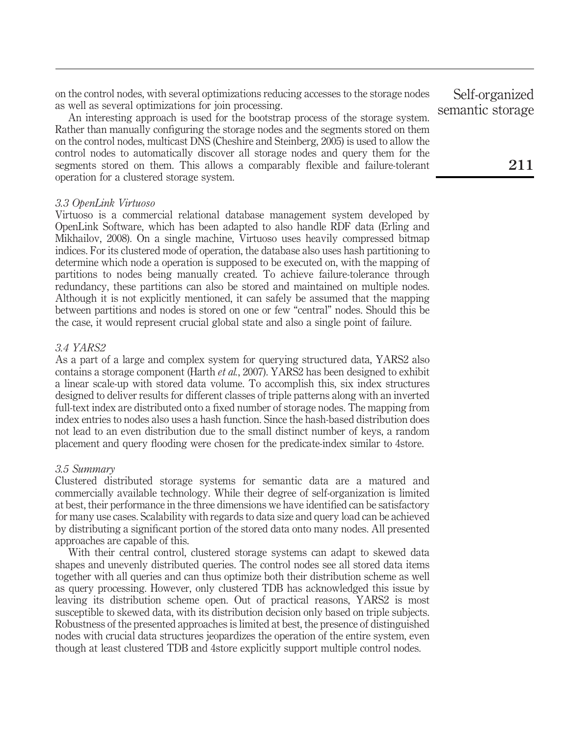on the control nodes, with several optimizations reducing accesses to the storage nodes as well as several optimizations for join processing.

An interesting approach is used for the bootstrap process of the storage system. Rather than manually configuring the storage nodes and the segments stored on them on the control nodes, multicast DNS (Cheshire and Steinberg, 2005) is used to allow the control nodes to automatically discover all storage nodes and query them for the segments stored on them. This allows a comparably flexible and failure-tolerant operation for a clustered storage system.

#### 3.3 OpenLink Virtuoso

Virtuoso is a commercial relational database management system developed by OpenLink Software, which has been adapted to also handle RDF data (Erling and Mikhailov, 2008). On a single machine, Virtuoso uses heavily compressed bitmap indices. For its clustered mode of operation, the database also uses hash partitioning to determine which node a operation is supposed to be executed on, with the mapping of partitions to nodes being manually created. To achieve failure-tolerance through redundancy, these partitions can also be stored and maintained on multiple nodes. Although it is not explicitly mentioned, it can safely be assumed that the mapping between partitions and nodes is stored on one or few "central" nodes. Should this be the case, it would represent crucial global state and also a single point of failure.

# 3.4 YARS2

As a part of a large and complex system for querying structured data, YARS2 also contains a storage component (Harth et al., 2007). YARS2 has been designed to exhibit a linear scale-up with stored data volume. To accomplish this, six index structures designed to deliver results for different classes of triple patterns along with an inverted full-text index are distributed onto a fixed number of storage nodes. The mapping from index entries to nodes also uses a hash function. Since the hash-based distribution does not lead to an even distribution due to the small distinct number of keys, a random placement and query flooding were chosen for the predicate-index similar to 4store.

#### 3.5 Summary

Clustered distributed storage systems for semantic data are a matured and commercially available technology. While their degree of self-organization is limited at best, their performance in the three dimensions we have identified can be satisfactory for many use cases. Scalability with regards to data size and query load can be achieved by distributing a significant portion of the stored data onto many nodes. All presented approaches are capable of this.

With their central control, clustered storage systems can adapt to skewed data shapes and unevenly distributed queries. The control nodes see all stored data items together with all queries and can thus optimize both their distribution scheme as well as query processing. However, only clustered TDB has acknowledged this issue by leaving its distribution scheme open. Out of practical reasons, YARS2 is most susceptible to skewed data, with its distribution decision only based on triple subjects. Robustness of the presented approaches is limited at best, the presence of distinguished nodes with crucial data structures jeopardizes the operation of the entire system, even though at least clustered TDB and 4store explicitly support multiple control nodes.

Self-organized semantic storage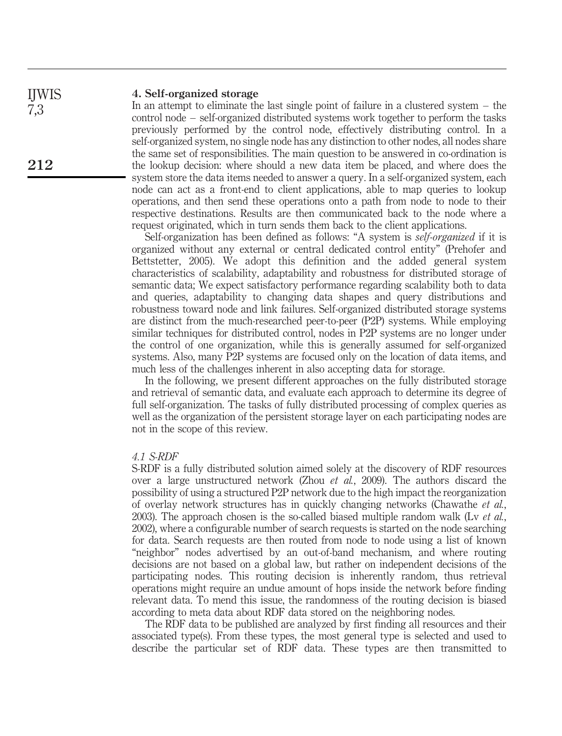## 4. Self-organized storage

In an attempt to eliminate the last single point of failure in a clustered system – the control node – self-organized distributed systems work together to perform the tasks previously performed by the control node, effectively distributing control. In a self-organized system, no single node has any distinction to other nodes, all nodes share the same set of responsibilities. The main question to be answered in co-ordination is the lookup decision: where should a new data item be placed, and where does the system store the data items needed to answer a query. In a self-organized system, each node can act as a front-end to client applications, able to map queries to lookup operations, and then send these operations onto a path from node to node to their respective destinations. Results are then communicated back to the node where a request originated, which in turn sends them back to the client applications.

Self-organization has been defined as follows: "A system is *self-organized* if it is organized without any external or central dedicated control entity" (Prehofer and Bettstetter, 2005). We adopt this definition and the added general system characteristics of scalability, adaptability and robustness for distributed storage of semantic data; We expect satisfactory performance regarding scalability both to data and queries, adaptability to changing data shapes and query distributions and robustness toward node and link failures. Self-organized distributed storage systems are distinct from the much-researched peer-to-peer (P2P) systems. While employing similar techniques for distributed control, nodes in P2P systems are no longer under the control of one organization, while this is generally assumed for self-organized systems. Also, many P2P systems are focused only on the location of data items, and much less of the challenges inherent in also accepting data for storage.

In the following, we present different approaches on the fully distributed storage and retrieval of semantic data, and evaluate each approach to determine its degree of full self-organization. The tasks of fully distributed processing of complex queries as well as the organization of the persistent storage layer on each participating nodes are not in the scope of this review.

#### 4.1 S-RDF

S-RDF is a fully distributed solution aimed solely at the discovery of RDF resources over a large unstructured network (Zhou et al., 2009). The authors discard the possibility of using a structured P2P network due to the high impact the reorganization of overlay network structures has in quickly changing networks (Chawathe et al., 2003). The approach chosen is the so-called biased multiple random walk (Ly  $et$  al., 2002), where a configurable number of search requests is started on the node searching for data. Search requests are then routed from node to node using a list of known "neighbor" nodes advertised by an out-of-band mechanism, and where routing decisions are not based on a global law, but rather on independent decisions of the participating nodes. This routing decision is inherently random, thus retrieval operations might require an undue amount of hops inside the network before finding relevant data. To mend this issue, the randomness of the routing decision is biased according to meta data about RDF data stored on the neighboring nodes.

The RDF data to be published are analyzed by first finding all resources and their associated type(s). From these types, the most general type is selected and used to describe the particular set of RDF data. These types are then transmitted to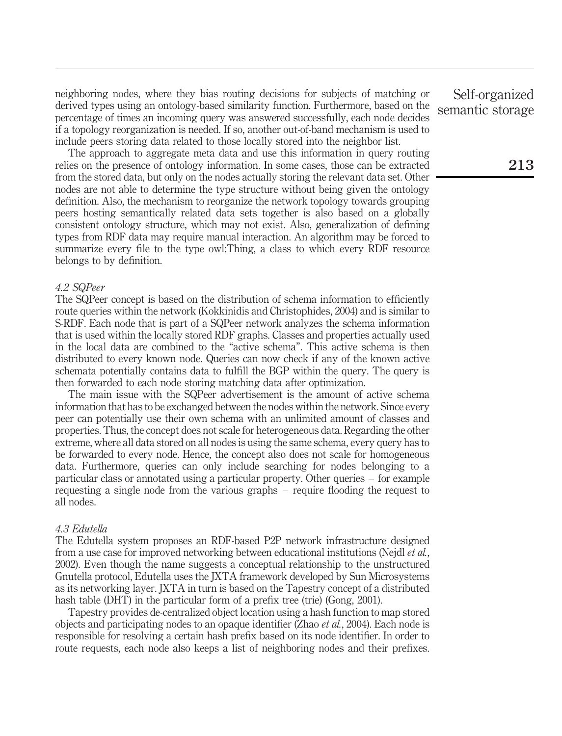neighboring nodes, where they bias routing decisions for subjects of matching or derived types using an ontology-based similarity function. Furthermore, based on the percentage of times an incoming query was answered successfully, each node decides if a topology reorganization is needed. If so, another out-of-band mechanism is used to include peers storing data related to those locally stored into the neighbor list.

The approach to aggregate meta data and use this information in query routing relies on the presence of ontology information. In some cases, those can be extracted from the stored data, but only on the nodes actually storing the relevant data set. Other nodes are not able to determine the type structure without being given the ontology definition. Also, the mechanism to reorganize the network topology towards grouping peers hosting semantically related data sets together is also based on a globally consistent ontology structure, which may not exist. Also, generalization of defining types from RDF data may require manual interaction. An algorithm may be forced to summarize every file to the type owl:Thing, a class to which every RDF resource belongs to by definition.

#### 4.2 SQPeer

The SQPeer concept is based on the distribution of schema information to efficiently route queries within the network (Kokkinidis and Christophides, 2004) and is similar to S-RDF. Each node that is part of a SQPeer network analyzes the schema information that is used within the locally stored RDF graphs. Classes and properties actually used in the local data are combined to the "active schema". This active schema is then distributed to every known node. Queries can now check if any of the known active schemata potentially contains data to fulfill the BGP within the query. The query is then forwarded to each node storing matching data after optimization.

The main issue with the SQPeer advertisement is the amount of active schema information that has to be exchanged between the nodes within the network. Since every peer can potentially use their own schema with an unlimited amount of classes and properties. Thus, the concept does not scale for heterogeneous data. Regarding the other extreme, where all data stored on all nodes is using the same schema, every query has to be forwarded to every node. Hence, the concept also does not scale for homogeneous data. Furthermore, queries can only include searching for nodes belonging to a particular class or annotated using a particular property. Other queries – for example requesting a single node from the various graphs – require flooding the request to all nodes.

#### 4.3 Edutella

The Edutella system proposes an RDF-based P2P network infrastructure designed from a use case for improved networking between educational institutions (Nejdl et al., 2002). Even though the name suggests a conceptual relationship to the unstructured Gnutella protocol, Edutella uses the JXTA framework developed by Sun Microsystems as its networking layer. JXTA in turn is based on the Tapestry concept of a distributed hash table (DHT) in the particular form of a prefix tree (trie) (Gong, 2001).

Tapestry provides de-centralized object location using a hash function to map stored objects and participating nodes to an opaque identifier (Zhao et al., 2004). Each node is responsible for resolving a certain hash prefix based on its node identifier. In order to route requests, each node also keeps a list of neighboring nodes and their prefixes.

Self-organized semantic storage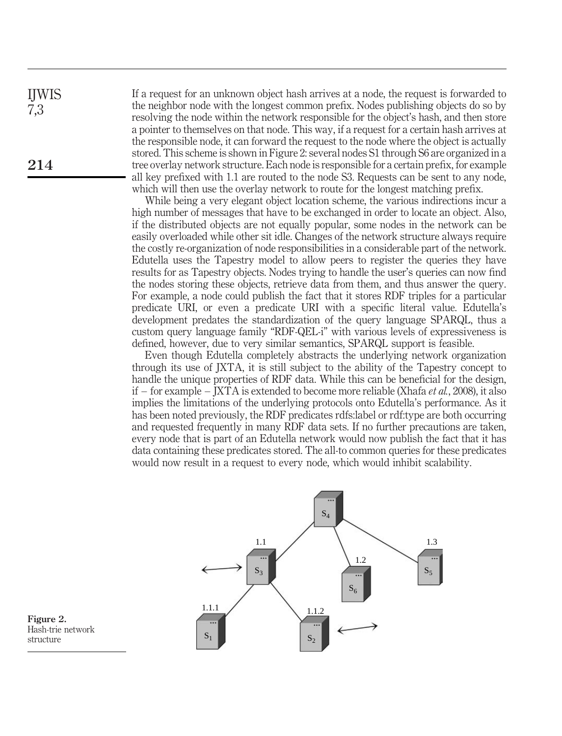If a request for an unknown object hash arrives at a node, the request is forwarded to the neighbor node with the longest common prefix. Nodes publishing objects do so by resolving the node within the network responsible for the object's hash, and then store a pointer to themselves on that node. This way, if a request for a certain hash arrives at the responsible node, it can forward the request to the node where the object is actually stored. This scheme is shown in Figure 2: several nodes S1 through S6 are organized in a tree overlay network structure. Each node is responsible for a certain prefix, for example all key prefixed with 1.1 are routed to the node S3. Requests can be sent to any node, which will then use the overlay network to route for the longest matching prefix.

While being a very elegant object location scheme, the various indirections incur a high number of messages that have to be exchanged in order to locate an object. Also, if the distributed objects are not equally popular, some nodes in the network can be easily overloaded while other sit idle. Changes of the network structure always require the costly re-organization of node responsibilities in a considerable part of the network. Edutella uses the Tapestry model to allow peers to register the queries they have results for as Tapestry objects. Nodes trying to handle the user's queries can now find the nodes storing these objects, retrieve data from them, and thus answer the query. For example, a node could publish the fact that it stores RDF triples for a particular predicate URI, or even a predicate URI with a specific literal value. Edutella's development predates the standardization of the query language SPARQL, thus a custom query language family "RDF-QEL-i" with various levels of expressiveness is defined, however, due to very similar semantics, SPARQL support is feasible.

Even though Edutella completely abstracts the underlying network organization through its use of JXTA, it is still subject to the ability of the Tapestry concept to handle the unique properties of RDF data. While this can be beneficial for the design, if – for example – JXTA is extended to become more reliable (Xhafa *et al.*, 2008), it also implies the limitations of the underlying protocols onto Edutella's performance. As it has been noted previously, the RDF predicates rdfs:label or rdf:type are both occurring and requested frequently in many RDF data sets. If no further precautions are taken, every node that is part of an Edutella network would now publish the fact that it has data containing these predicates stored. The all-to common queries for these predicates would now result in a request to every node, which would inhibit scalability.



Figure 2. Hash-trie network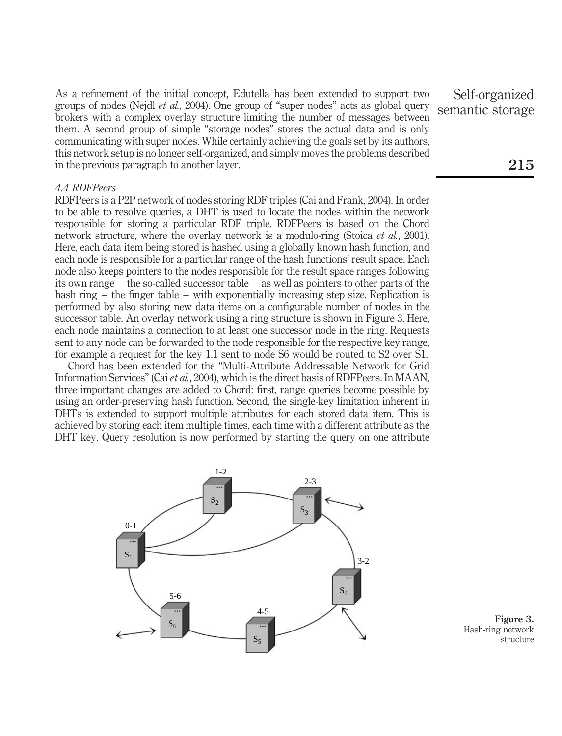As a refinement of the initial concept, Edutella has been extended to support two groups of nodes (Nejdl et al., 2004). One group of "super nodes" acts as global query brokers with a complex overlay structure limiting the number of messages between them. A second group of simple "storage nodes" stores the actual data and is only communicating with super nodes. While certainly achieving the goals set by its authors, this network setup is no longer self-organized, and simply moves the problems described in the previous paragraph to another layer.

# 4.4 RDFPeers

RDFPeers is a P2P network of nodes storing RDF triples (Cai and Frank, 2004). In order to be able to resolve queries, a DHT is used to locate the nodes within the network responsible for storing a particular RDF triple. RDFPeers is based on the Chord network structure, where the overlay network is a modulo-ring (Stoica et al., 2001). Here, each data item being stored is hashed using a globally known hash function, and each node is responsible for a particular range of the hash functions' result space. Each node also keeps pointers to the nodes responsible for the result space ranges following its own range – the so-called successor table – as well as pointers to other parts of the hash ring – the finger table – with exponentially increasing step size. Replication is performed by also storing new data items on a configurable number of nodes in the successor table. An overlay network using a ring structure is shown in Figure 3. Here, each node maintains a connection to at least one successor node in the ring. Requests sent to any node can be forwarded to the node responsible for the respective key range, for example a request for the key 1.1 sent to node S6 would be routed to S2 over S1.

Chord has been extended for the "Multi-Attribute Addressable Network for Grid Information Services" (Cai et al., 2004), which is the direct basis of RDFPeers. In MAAN, three important changes are added to Chord: first, range queries become possible by using an order-preserving hash function. Second, the single-key limitation inherent in DHTs is extended to support multiple attributes for each stored data item. This is achieved by storing each item multiple times, each time with a different attribute as the DHT key. Query resolution is now performed by starting the query on one attribute



Figure 3. Hash-ring network structure

Self-organized semantic storage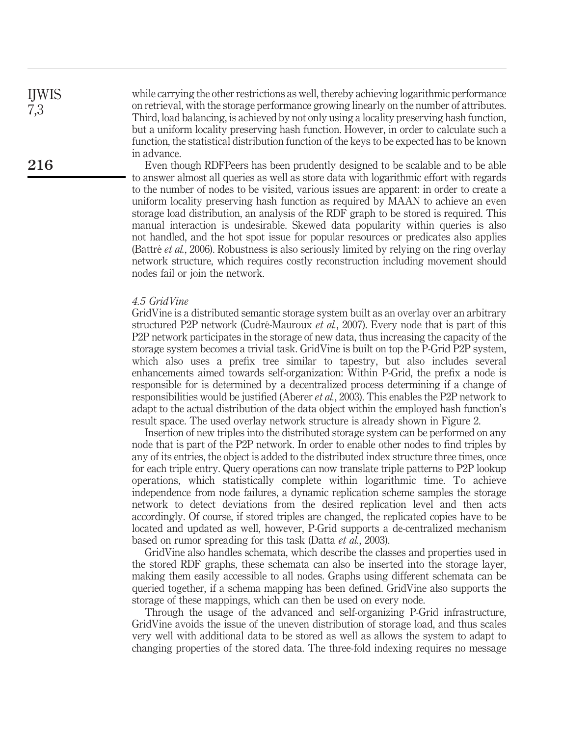while carrying the other restrictions as well, thereby achieving logarithmic performance on retrieval, with the storage performance growing linearly on the number of attributes. Third, load balancing, is achieved by not only using a locality preserving hash function, but a uniform locality preserving hash function. However, in order to calculate such a function, the statistical distribution function of the keys to be expected has to be known in advance.

> Even though RDFPeers has been prudently designed to be scalable and to be able to answer almost all queries as well as store data with logarithmic effort with regards to the number of nodes to be visited, various issues are apparent: in order to create a uniform locality preserving hash function as required by MAAN to achieve an even storage load distribution, an analysis of the RDF graph to be stored is required. This manual interaction is undesirable. Skewed data popularity within queries is also not handled, and the hot spot issue for popular resources or predicates also applies (Battré *et al.*, 2006). Robustness is also seriously limited by relying on the ring overlay network structure, which requires costly reconstruction including movement should nodes fail or join the network.

#### 4.5 GridVine

GridVine is a distributed semantic storage system built as an overlay over an arbitrary structured P2P network (Cudré-Mauroux *et al.*, 2007). Every node that is part of this P2P network participates in the storage of new data, thus increasing the capacity of the storage system becomes a trivial task. GridVine is built on top the P-Grid P2P system, which also uses a prefix tree similar to tapestry, but also includes several enhancements aimed towards self-organization: Within P-Grid, the prefix a node is responsible for is determined by a decentralized process determining if a change of responsibilities would be justified (Aberer et al., 2003). This enables the P2P network to adapt to the actual distribution of the data object within the employed hash function's result space. The used overlay network structure is already shown in Figure 2.

Insertion of new triples into the distributed storage system can be performed on any node that is part of the P2P network. In order to enable other nodes to find triples by any of its entries, the object is added to the distributed index structure three times, once for each triple entry. Query operations can now translate triple patterns to P2P lookup operations, which statistically complete within logarithmic time. To achieve independence from node failures, a dynamic replication scheme samples the storage network to detect deviations from the desired replication level and then acts accordingly. Of course, if stored triples are changed, the replicated copies have to be located and updated as well, however, P-Grid supports a de-centralized mechanism based on rumor spreading for this task (Datta et al., 2003).

GridVine also handles schemata, which describe the classes and properties used in the stored RDF graphs, these schemata can also be inserted into the storage layer, making them easily accessible to all nodes. Graphs using different schemata can be queried together, if a schema mapping has been defined. GridVine also supports the storage of these mappings, which can then be used on every node.

Through the usage of the advanced and self-organizing P-Grid infrastructure, GridVine avoids the issue of the uneven distribution of storage load, and thus scales very well with additional data to be stored as well as allows the system to adapt to changing properties of the stored data. The three-fold indexing requires no message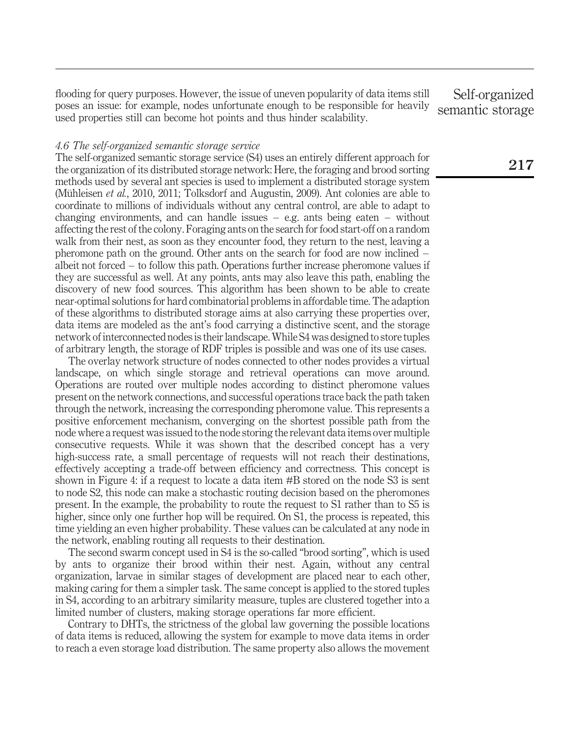flooding for query purposes. However, the issue of uneven popularity of data items still poses an issue: for example, nodes unfortunate enough to be responsible for heavily used properties still can become hot points and thus hinder scalability.

4.6 The self-organized semantic storage service

The self-organized semantic storage service (S4) uses an entirely different approach for the organization of its distributed storage network: Here, the foraging and brood sorting methods used by several ant species is used to implement a distributed storage system (Mühleisen  $et al., 2010, 2011$ ; Tolksdorf and Augustin, 2009). Ant colonies are able to coordinate to millions of individuals without any central control, are able to adapt to changing environments, and can handle issues  $-$  e.g. ants being eaten  $-$  without affecting the rest of the colony. Foraging ants on the search for food start-off on a random walk from their nest, as soon as they encounter food, they return to the nest, leaving a pheromone path on the ground. Other ants on the search for food are now inclined – albeit not forced – to follow this path. Operations further increase pheromone values if they are successful as well. At any points, ants may also leave this path, enabling the discovery of new food sources. This algorithm has been shown to be able to create near-optimal solutions for hard combinatorial problems in affordable time. The adaption of these algorithms to distributed storage aims at also carrying these properties over, data items are modeled as the ant's food carrying a distinctive scent, and the storage network of interconnected nodes is their landscape. While S4 was designed to store tuples of arbitrary length, the storage of RDF triples is possible and was one of its use cases.

The overlay network structure of nodes connected to other nodes provides a virtual landscape, on which single storage and retrieval operations can move around. Operations are routed over multiple nodes according to distinct pheromone values present on the network connections, and successful operations trace back the path taken through the network, increasing the corresponding pheromone value. This represents a positive enforcement mechanism, converging on the shortest possible path from the node where a request was issued to the node storing the relevant data items over multiple consecutive requests. While it was shown that the described concept has a very high-success rate, a small percentage of requests will not reach their destinations, effectively accepting a trade-off between efficiency and correctness. This concept is shown in Figure 4: if a request to locate a data item #B stored on the node S3 is sent to node S2, this node can make a stochastic routing decision based on the pheromones present. In the example, the probability to route the request to S1 rather than to S5 is higher, since only one further hop will be required. On S1, the process is repeated, this time yielding an even higher probability. These values can be calculated at any node in the network, enabling routing all requests to their destination.

The second swarm concept used in S4 is the so-called "brood sorting", which is used by ants to organize their brood within their nest. Again, without any central organization, larvae in similar stages of development are placed near to each other, making caring for them a simpler task. The same concept is applied to the stored tuples in S4, according to an arbitrary similarity measure, tuples are clustered together into a limited number of clusters, making storage operations far more efficient.

Contrary to DHTs, the strictness of the global law governing the possible locations of data items is reduced, allowing the system for example to move data items in order to reach a even storage load distribution. The same property also allows the movement

Self-organized semantic storage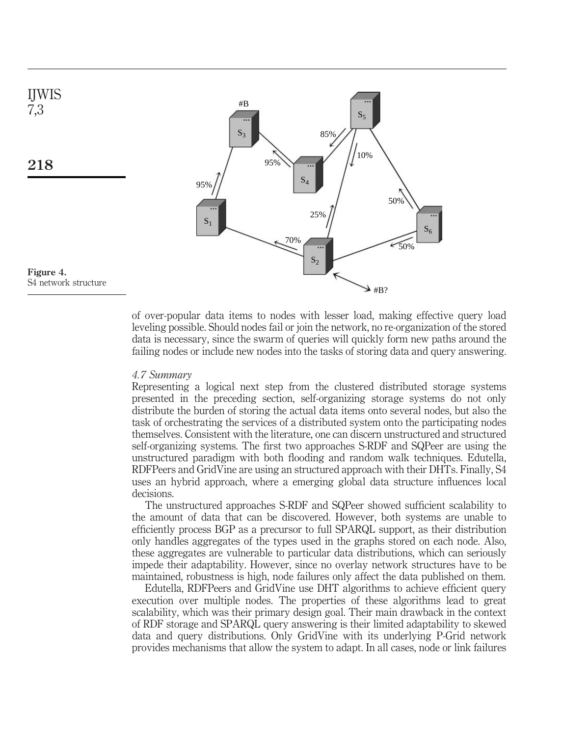

of over-popular data items to nodes with lesser load, making effective query load leveling possible. Should nodes fail or join the network, no re-organization of the stored data is necessary, since the swarm of queries will quickly form new paths around the failing nodes or include new nodes into the tasks of storing data and query answering.

#### 4.7 Summary

Representing a logical next step from the clustered distributed storage systems presented in the preceding section, self-organizing storage systems do not only distribute the burden of storing the actual data items onto several nodes, but also the task of orchestrating the services of a distributed system onto the participating nodes themselves. Consistent with the literature, one can discern unstructured and structured self-organizing systems. The first two approaches S-RDF and SQPeer are using the unstructured paradigm with both flooding and random walk techniques. Edutella, RDFPeers and GridVine are using an structured approach with their DHTs. Finally, S4 uses an hybrid approach, where a emerging global data structure influences local decisions.

The unstructured approaches S-RDF and SQPeer showed sufficient scalability to the amount of data that can be discovered. However, both systems are unable to efficiently process BGP as a precursor to full SPARQL support, as their distribution only handles aggregates of the types used in the graphs stored on each node. Also, these aggregates are vulnerable to particular data distributions, which can seriously impede their adaptability. However, since no overlay network structures have to be maintained, robustness is high, node failures only affect the data published on them.

Edutella, RDFPeers and GridVine use DHT algorithms to achieve efficient query execution over multiple nodes. The properties of these algorithms lead to great scalability, which was their primary design goal. Their main drawback in the context of RDF storage and SPARQL query answering is their limited adaptability to skewed data and query distributions. Only GridVine with its underlying P-Grid network provides mechanisms that allow the system to adapt. In all cases, node or link failures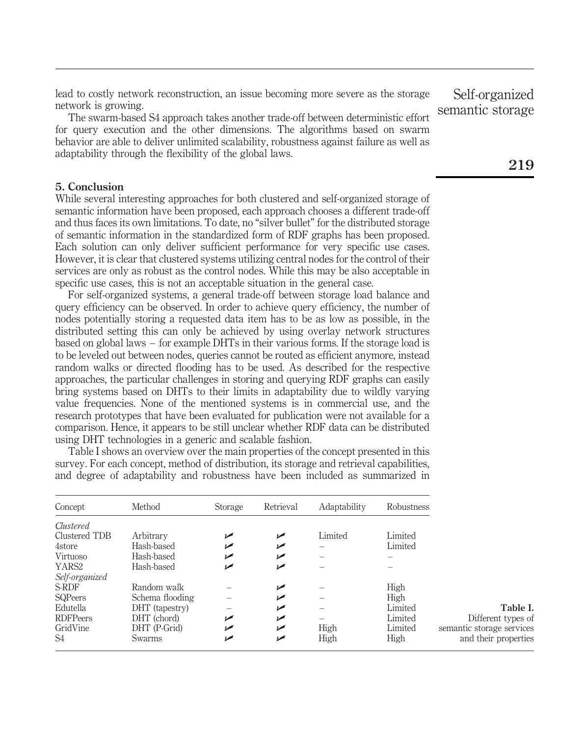lead to costly network reconstruction, an issue becoming more severe as the storage network is growing.

The swarm-based S4 approach takes another trade-off between deterministic effort for query execution and the other dimensions. The algorithms based on swarm behavior are able to deliver unlimited scalability, robustness against failure as well as adaptability through the flexibility of the global laws.

# 5. Conclusion

While several interesting approaches for both clustered and self-organized storage of semantic information have been proposed, each approach chooses a different trade-off and thus faces its own limitations. To date, no "silver bullet" for the distributed storage of semantic information in the standardized form of RDF graphs has been proposed. Each solution can only deliver sufficient performance for very specific use cases. However, it is clear that clustered systems utilizing central nodes for the control of their services are only as robust as the control nodes. While this may be also acceptable in specific use cases, this is not an acceptable situation in the general case.

For self-organized systems, a general trade-off between storage load balance and query efficiency can be observed. In order to achieve query efficiency, the number of nodes potentially storing a requested data item has to be as low as possible, in the distributed setting this can only be achieved by using overlay network structures based on global laws – for example DHTs in their various forms. If the storage load is to be leveled out between nodes, queries cannot be routed as efficient anymore, instead random walks or directed flooding has to be used. As described for the respective approaches, the particular challenges in storing and querying RDF graphs can easily bring systems based on DHTs to their limits in adaptability due to wildly varying value frequencies. None of the mentioned systems is in commercial use, and the research prototypes that have been evaluated for publication were not available for a comparison. Hence, it appears to be still unclear whether RDF data can be distributed using DHT technologies in a generic and scalable fashion.

Table I shows an overview over the main properties of the concept presented in this survey. For each concept, method of distribution, its storage and retrieval capabilities, and degree of adaptability and robustness have been included as summarized in

| Concept         | Method          | Storage | Retrieval | Adaptability | Robustness |                           |
|-----------------|-----------------|---------|-----------|--------------|------------|---------------------------|
| Clustered       |                 |         |           |              |            |                           |
| Clustered TDB   | Arbitrary       | ✔       | ↙         | Limited      | Limited    |                           |
| 4store          | Hash-based      | ممن     | ✔         |              | Limited    |                           |
| Virtuoso        | Hash-based      | ممن     | ممن       |              |            |                           |
| YARS2           | Hash-based      | مما     | مما       |              |            |                           |
| Self-organized  |                 |         |           |              |            |                           |
| S-RDF           | Random walk     |         | ممن       |              | High       |                           |
| SQPeers         | Schema flooding |         | ✔         |              | High       |                           |
| Edutella        | DHT (tapestry)  |         | ↙         |              | Limited    | Table I.                  |
| <b>RDFPeers</b> | DHT (chord)     | ↙       | ↙         |              | Limited    | Different types of        |
| GridVine        | DHT (P-Grid)    | ↙       | ↙         | High         | Limited    | semantic storage services |
| S <sub>4</sub>  | Swarms          | ✔       | ↙         | High         | High       | and their properties      |

Self-organized semantic storage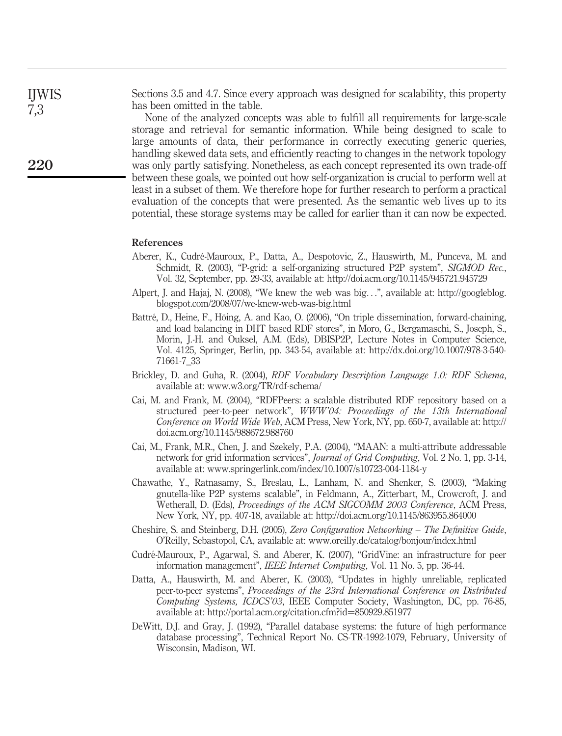Sections 3.5 and 4.7. Since every approach was designed for scalability, this property has been omitted in the table.

None of the analyzed concepts was able to fulfill all requirements for large-scale storage and retrieval for semantic information. While being designed to scale to large amounts of data, their performance in correctly executing generic queries, handling skewed data sets, and efficiently reacting to changes in the network topology was only partly satisfying. Nonetheless, as each concept represented its own trade-off between these goals, we pointed out how self-organization is crucial to perform well at least in a subset of them. We therefore hope for further research to perform a practical evaluation of the concepts that were presented. As the semantic web lives up to its potential, these storage systems may be called for earlier than it can now be expected.

#### References

- Aberer, K., Cudré-Mauroux, P., Datta, A., Despotovic, Z., Hauswirth, M., Punceva, M. and Schmidt, R. (2003), "P-grid: a self-organizing structured P2P system", SIGMOD Rec., Vol. 32, September, pp. 29-33, available at: http://doi.acm.org/10.1145/945721.945729
- Alpert, J. and Hajaj, N. (2008), "We knew the web was big...", available at: http://googleblog. blogspot.com/2008/07/we-knew-web-was-big.html
- Battré, D., Heine, F., Höing, A. and Kao, O. (2006), "On triple dissemination, forward-chaining, and load balancing in DHT based RDF stores", in Moro, G., Bergamaschi, S., Joseph, S., Morin, J.-H. and Ouksel, A.M. (Eds), DBISP2P, Lecture Notes in Computer Science, Vol. 4125, Springer, Berlin, pp. 343-54, available at: http://dx.doi.org/10.1007/978-3-540- 71661-7\_33
- Brickley, D. and Guha, R. (2004), RDF Vocabulary Description Language 1.0: RDF Schema, available at: www.w3.org/TR/rdf-schema/
- Cai, M. and Frank, M. (2004), "RDFPeers: a scalable distributed RDF repository based on a structured peer-to-peer network", WWW'04: Proceedings of the 13th International Conference on World Wide Web, ACM Press, New York, NY, pp. 650-7, available at: http:// doi.acm.org/10.1145/988672.988760
- Cai, M., Frank, M.R., Chen, J. and Szekely, P.A. (2004), "MAAN: a multi-attribute addressable network for grid information services", Journal of Grid Computing, Vol. 2 No. 1, pp. 3-14, available at: www.springerlink.com/index/10.1007/s10723-004-1184-y
- Chawathe, Y., Ratnasamy, S., Breslau, L., Lanham, N. and Shenker, S. (2003), "Making gnutella-like P2P systems scalable", in Feldmann, A., Zitterbart, M., Crowcroft, J. and Wetherall, D. (Eds), Proceedings of the ACM SIGCOMM 2003 Conference, ACM Press, New York, NY, pp. 407-18, available at: http://doi.acm.org/10.1145/863955.864000
- Cheshire, S. and Steinberg, D.H. (2005), Zero Configuration Networking The Definitive Guide, O'Reilly, Sebastopol, CA, available at: www.oreilly.de/catalog/bonjour/index.html
- Cudré-Mauroux, P., Agarwal, S. and Aberer, K. (2007), "GridVine: an infrastructure for peer information management", IEEE Internet Computing, Vol. 11 No. 5, pp. 36-44.
- Datta, A., Hauswirth, M. and Aberer, K. (2003), "Updates in highly unreliable, replicated peer-to-peer systems", Proceedings of the 23rd International Conference on Distributed Computing Systems, ICDCS'03, IEEE Computer Society, Washington, DC, pp. 76-85, available at: http://portal.acm.org/citation.cfm?id=850929.851977
- DeWitt, D.J. and Gray, J. (1992), "Parallel database systems: the future of high performance database processing", Technical Report No. CS-TR-1992-1079, February, University of Wisconsin, Madison, WI.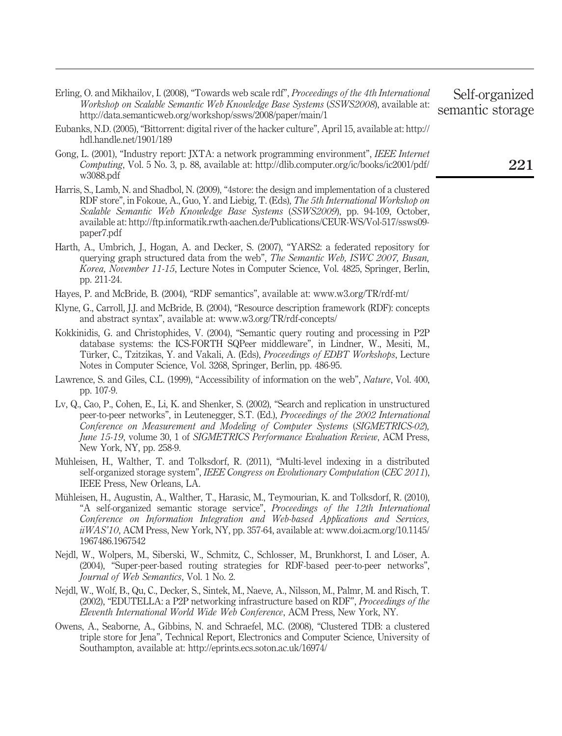- Erling, O. and Mikhailov, I. (2008), "Towards web scale rdf", Proceedings of the 4th International Workshop on Scalable Semantic Web Knowledge Base Systems (SSWS2008), available at: http://data.semanticweb.org/workshop/ssws/2008/paper/main/1
- Eubanks, N.D. (2005), "Bittorrent: digital river of the hacker culture", April 15, available at: http:// hdl.handle.net/1901/189
- Gong, L. (2001), "Industry report: JXTA: a network programming environment", IEEE Internet Computing, Vol. 5 No. 3, p. 88, available at: http://dlib.computer.org/ic/books/ic2001/pdf/ w3088.pdf
- Harris, S., Lamb, N. and Shadbol, N. (2009), "4store: the design and implementation of a clustered RDF store", in Fokoue, A., Guo, Y. and Liebig, T. (Eds), The 5th International Workshop on Scalable Semantic Web Knowledge Base Systems (SSWS2009), pp. 94-109, October, available at: http://ftp.informatik.rwth-aachen.de/Publications/CEUR-WS/Vol-517/ssws09 paper7.pdf
- Harth, A., Umbrich, J., Hogan, A. and Decker, S. (2007), "YARS2: a federated repository for querying graph structured data from the web", The Semantic Web, ISWC 2007, Busan, Korea, November 11-15, Lecture Notes in Computer Science, Vol. 4825, Springer, Berlin, pp. 211-24.
- Hayes, P. and McBride, B. (2004), "RDF semantics", available at: www.w3.org/TR/rdf-mt/
- Klyne, G., Carroll, J.J. and McBride, B. (2004), "Resource description framework (RDF): concepts and abstract syntax", available at: www.w3.org/TR/rdf-concepts/
- Kokkinidis, G. and Christophides, V. (2004), "Semantic query routing and processing in P2P database systems: the ICS-FORTH SQPeer middleware", in Lindner, W., Mesiti, M., Türker, C., Tzitzikas, Y. and Vakali, A. (Eds), Proceedings of EDBT Workshops, Lecture Notes in Computer Science, Vol. 3268, Springer, Berlin, pp. 486-95.
- Lawrence, S. and Giles, C.L. (1999), "Accessibility of information on the web", Nature, Vol. 400, pp. 107-9.
- Lv, Q., Cao, P., Cohen, E., Li, K. and Shenker, S. (2002), "Search and replication in unstructured peer-to-peer networks", in Leutenegger, S.T. (Ed.), Proceedings of the 2002 International Conference on Measurement and Modeling of Computer Systems (SIGMETRICS-02), June 15-19, volume 30, 1 of SIGMETRICS Performance Evaluation Review, ACM Press, New York, NY, pp. 258-9.
- Mühleisen, H., Walther, T. and Tolksdorf, R. (2011), "Multi-level indexing in a distributed self-organized storage system", IEEE Congress on Evolutionary Computation (CEC 2011), IEEE Press, New Orleans, LA.
- Mühleisen, H., Augustin, A., Walther, T., Harasic, M., Teymourian, K. and Tolksdorf, R. (2010), "A self-organized semantic storage service", Proceedings of the 12th International Conference on Information Integration and Web-based Applications and Services,  $iiWAS'10$ , ACM Press, New York, NY, pp. 357-64, available at: www.doi.acm.org/10.1145/ 1967486.1967542
- Nejdl, W., Wolpers, M., Siberski, W., Schmitz, C., Schlosser, M., Brunkhorst, I. and Löser, A. (2004), "Super-peer-based routing strategies for RDF-based peer-to-peer networks", Journal of Web Semantics, Vol. 1 No. 2.
- Nejdl, W., Wolf, B., Qu, C., Decker, S., Sintek, M., Naeve, A., Nilsson, M., Palmr, M. and Risch, T. (2002), "EDUTELLA: a P2P networking infrastructure based on RDF", Proceedings of the Eleventh International World Wide Web Conference, ACM Press, New York, NY.
- Owens, A., Seaborne, A., Gibbins, N. and Schraefel, M.C. (2008), "Clustered TDB: a clustered triple store for Jena", Technical Report, Electronics and Computer Science, University of Southampton, available at: http://eprints.ecs.soton.ac.uk/16974/

Self-organized semantic storage